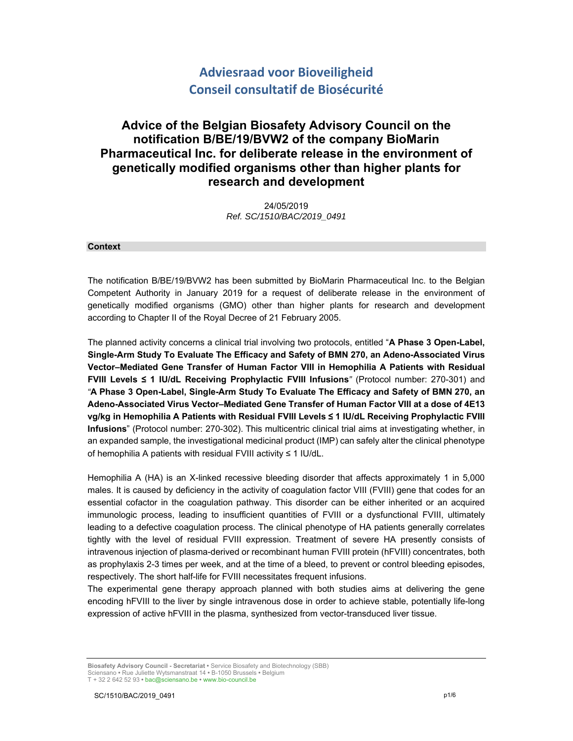# **Adviesraad voor Bioveiligheid Conseil consultatif de Biosécurité**

# **Advice of the Belgian Biosafety Advisory Council on the notification B/BE/19/BVW2 of the company BioMarin Pharmaceutical Inc. for deliberate release in the environment of genetically modified organisms other than higher plants for research and development**

24/05/2019 *Ref. SC/1510/BAC/2019\_0491* 

#### **Context**

The notification B/BE/19/BVW2 has been submitted by BioMarin Pharmaceutical Inc. to the Belgian Competent Authority in January 2019 for a request of deliberate release in the environment of genetically modified organisms (GMO) other than higher plants for research and development according to Chapter II of the Royal Decree of 21 February 2005.

The planned activity concerns a clinical trial involving two protocols, entitled "**A Phase 3 Open-Label, Single-Arm Study To Evaluate The Efficacy and Safety of BMN 270, an Adeno-Associated Virus Vector–Mediated Gene Transfer of Human Factor VIII in Hemophilia A Patients with Residual FVIII Levels ≤ 1 IU/dL Receiving Prophylactic FVIII Infusions***"* (Protocol number: 270-301) and *"***A Phase 3 Open-Label, Single-Arm Study To Evaluate The Efficacy and Safety of BMN 270, an Adeno-Associated Virus Vector–Mediated Gene Transfer of Human Factor VIII at a dose of 4E13 vg/kg in Hemophilia A Patients with Residual FVIII Levels ≤ 1 IU/dL Receiving Prophylactic FVIII Infusions**" (Protocol number: 270-302). This multicentric clinical trial aims at investigating whether, in an expanded sample, the investigational medicinal product (IMP) can safely alter the clinical phenotype of hemophilia A patients with residual FVIII activity ≤ 1 IU/dL.

Hemophilia A (HA) is an X-linked recessive bleeding disorder that affects approximately 1 in 5,000 males. It is caused by deficiency in the activity of coagulation factor VIII (FVIII) gene that codes for an essential cofactor in the coagulation pathway. This disorder can be either inherited or an acquired immunologic process, leading to insufficient quantities of FVIII or a dysfunctional FVIII, ultimately leading to a defective coagulation process. The clinical phenotype of HA patients generally correlates tightly with the level of residual FVIII expression. Treatment of severe HA presently consists of intravenous injection of plasma-derived or recombinant human FVIII protein (hFVIII) concentrates, both as prophylaxis 2-3 times per week, and at the time of a bleed, to prevent or control bleeding episodes, respectively. The short half-life for FVIII necessitates frequent infusions.

The experimental gene therapy approach planned with both studies aims at delivering the gene encoding hFVIII to the liver by single intravenous dose in order to achieve stable, potentially life-long expression of active hFVIII in the plasma, synthesized from vector-transduced liver tissue.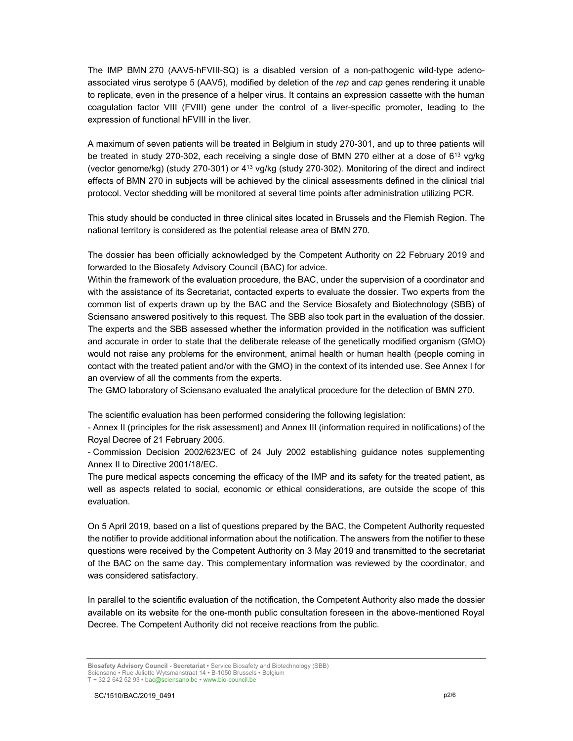The IMP BMN 270 (AAV5-hFVIII-SQ) is a disabled version of a non-pathogenic wild-type adenoassociated virus serotype 5 (AAV5), modified by deletion of the *rep* and *cap* genes rendering it unable to replicate, even in the presence of a helper virus. It contains an expression cassette with the human coagulation factor VIII (FVIII) gene under the control of a liver-specific promoter, leading to the expression of functional hFVIII in the liver.

A maximum of seven patients will be treated in Belgium in study 270-301, and up to three patients will be treated in study 270-302, each receiving a single dose of BMN 270 either at a dose of 6<sup>13</sup> vg/kg (vector genome/kg) (study 270-301) or 413 vg/kg (study 270-302). Monitoring of the direct and indirect effects of BMN 270 in subjects will be achieved by the clinical assessments defined in the clinical trial protocol. Vector shedding will be monitored at several time points after administration utilizing PCR.

This study should be conducted in three clinical sites located in Brussels and the Flemish Region. The national territory is considered as the potential release area of BMN 270*.*

The dossier has been officially acknowledged by the Competent Authority on 22 February 2019 and forwarded to the Biosafety Advisory Council (BAC) for advice.

Within the framework of the evaluation procedure, the BAC, under the supervision of a coordinator and with the assistance of its Secretariat, contacted experts to evaluate the dossier. Two experts from the common list of experts drawn up by the BAC and the Service Biosafety and Biotechnology (SBB) of Sciensano answered positively to this request. The SBB also took part in the evaluation of the dossier. The experts and the SBB assessed whether the information provided in the notification was sufficient and accurate in order to state that the deliberate release of the genetically modified organism (GMO) would not raise any problems for the environment, animal health or human health (people coming in contact with the treated patient and/or with the GMO) in the context of its intended use. See Annex I for an overview of all the comments from the experts.

The GMO laboratory of Sciensano evaluated the analytical procedure for the detection of BMN 270.

The scientific evaluation has been performed considering the following legislation:

- Annex II (principles for the risk assessment) and Annex III (information required in notifications) of the Royal Decree of 21 February 2005.

- Commission Decision 2002/623/EC of 24 July 2002 establishing guidance notes supplementing Annex II to Directive 2001/18/EC.

The pure medical aspects concerning the efficacy of the IMP and its safety for the treated patient, as well as aspects related to social, economic or ethical considerations, are outside the scope of this evaluation.

On 5 April 2019, based on a list of questions prepared by the BAC, the Competent Authority requested the notifier to provide additional information about the notification. The answers from the notifier to these questions were received by the Competent Authority on 3 May 2019 and transmitted to the secretariat of the BAC on the same day. This complementary information was reviewed by the coordinator, and was considered satisfactory.

In parallel to the scientific evaluation of the notification, the Competent Authority also made the dossier available on its website for the one-month public consultation foreseen in the above-mentioned Royal Decree. The Competent Authority did not receive reactions from the public.

**Biosafety Advisory Council - Secretariat •** Service Biosafety and Biotechnology (SBB) Sciensano **•** Rue Juliette Wytsmanstraat 14 **•** B-1050 Brussels **•** Belgium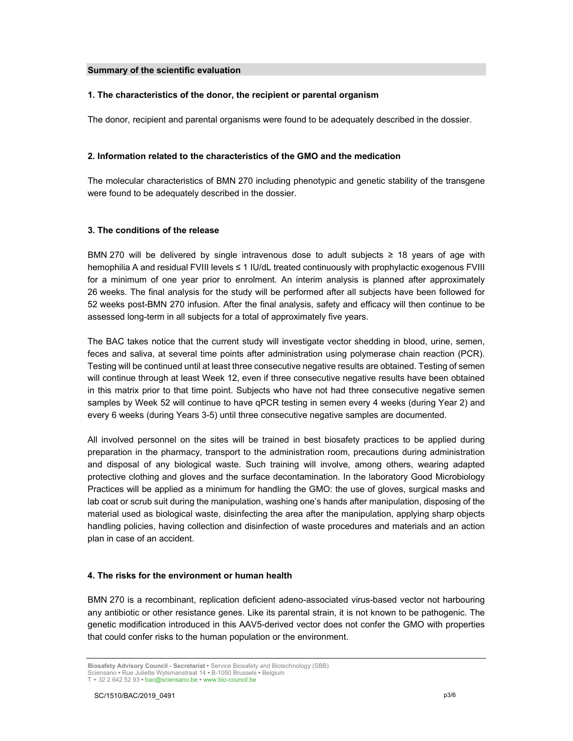### **Summary of the scientific evaluation**

### **1. The characteristics of the donor, the recipient or parental organism**

The donor, recipient and parental organisms were found to be adequately described in the dossier.

### **2. Information related to the characteristics of the GMO and the medication**

The molecular characteristics of BMN 270 including phenotypic and genetic stability of the transgene were found to be adequately described in the dossier.

### **3. The conditions of the release**

BMN 270 will be delivered by single intravenous dose to adult subjects ≥ 18 years of age with hemophilia A and residual FVIII levels ≤ 1 IU/dL treated continuously with prophylactic exogenous FVIII for a minimum of one year prior to enrolment. An interim analysis is planned after approximately 26 weeks. The final analysis for the study will be performed after all subjects have been followed for 52 weeks post-BMN 270 infusion. After the final analysis, safety and efficacy will then continue to be assessed long-term in all subjects for a total of approximately five years.

The BAC takes notice that the current study will investigate vector shedding in blood, urine, semen, feces and saliva, at several time points after administration using polymerase chain reaction (PCR). Testing will be continued until at least three consecutive negative results are obtained. Testing of semen will continue through at least Week 12, even if three consecutive negative results have been obtained in this matrix prior to that time point. Subjects who have not had three consecutive negative semen samples by Week 52 will continue to have qPCR testing in semen every 4 weeks (during Year 2) and every 6 weeks (during Years 3-5) until three consecutive negative samples are documented.

All involved personnel on the sites will be trained in best biosafety practices to be applied during preparation in the pharmacy, transport to the administration room, precautions during administration and disposal of any biological waste. Such training will involve, among others, wearing adapted protective clothing and gloves and the surface decontamination. In the laboratory Good Microbiology Practices will be applied as a minimum for handling the GMO: the use of gloves, surgical masks and lab coat or scrub suit during the manipulation, washing one's hands after manipulation, disposing of the material used as biological waste, disinfecting the area after the manipulation, applying sharp objects handling policies, having collection and disinfection of waste procedures and materials and an action plan in case of an accident.

### **4. The risks for the environment or human health**

BMN 270 is a recombinant, replication deficient adeno-associated virus-based vector not harbouring any antibiotic or other resistance genes. Like its parental strain, it is not known to be pathogenic. The genetic modification introduced in this AAV5-derived vector does not confer the GMO with properties that could confer risks to the human population or the environment.

**Biosafety Advisory Council - Secretariat •** Service Biosafety and Biotechnology (SBB) Sciensano **•** Rue Juliette Wytsmanstraat 14 **•** B-1050 Brussels **•** Belgium T + 32 2 642 52 93 **•** bac@sciensano.be **•** www.bio-council.be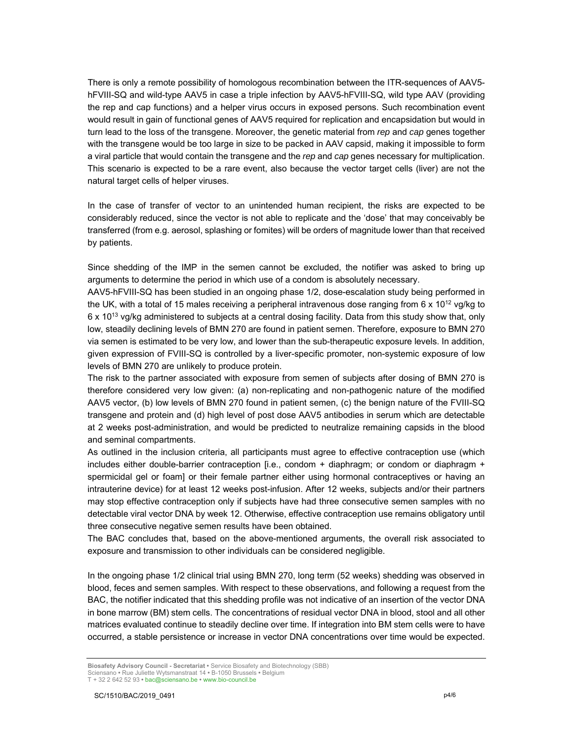There is only a remote possibility of homologous recombination between the ITR-sequences of AAV5 hFVIII-SQ and wild-type AAV5 in case a triple infection by AAV5-hFVIII-SQ, wild type AAV (providing the rep and cap functions) and a helper virus occurs in exposed persons. Such recombination event would result in gain of functional genes of AAV5 required for replication and encapsidation but would in turn lead to the loss of the transgene. Moreover, the genetic material from *rep* and *cap* genes together with the transgene would be too large in size to be packed in AAV capsid, making it impossible to form a viral particle that would contain the transgene and the *rep* and *cap* genes necessary for multiplication. This scenario is expected to be a rare event, also because the vector target cells (liver) are not the natural target cells of helper viruses.

In the case of transfer of vector to an unintended human recipient, the risks are expected to be considerably reduced, since the vector is not able to replicate and the 'dose' that may conceivably be transferred (from e.g. aerosol, splashing or fomites) will be orders of magnitude lower than that received by patients.

Since shedding of the IMP in the semen cannot be excluded, the notifier was asked to bring up arguments to determine the period in which use of a condom is absolutely necessary.

AAV5-hFVIII-SQ has been studied in an ongoing phase 1/2, dose-escalation study being performed in the UK, with a total of 15 males receiving a peripheral intravenous dose ranging from  $6 \times 10^{12}$  vg/kg to 6 x 1013 vg/kg administered to subjects at a central dosing facility. Data from this study show that, only low, steadily declining levels of BMN 270 are found in patient semen. Therefore, exposure to BMN 270 via semen is estimated to be very low, and lower than the sub-therapeutic exposure levels. In addition, given expression of FVIII-SQ is controlled by a liver-specific promoter, non-systemic exposure of low levels of BMN 270 are unlikely to produce protein.

The risk to the partner associated with exposure from semen of subjects after dosing of BMN 270 is therefore considered very low given: (a) non-replicating and non-pathogenic nature of the modified AAV5 vector, (b) low levels of BMN 270 found in patient semen, (c) the benign nature of the FVIII-SQ transgene and protein and (d) high level of post dose AAV5 antibodies in serum which are detectable at 2 weeks post-administration, and would be predicted to neutralize remaining capsids in the blood and seminal compartments.

As outlined in the inclusion criteria, all participants must agree to effective contraception use (which includes either double-barrier contraception [i.e., condom + diaphragm; or condom or diaphragm + spermicidal gel or foam] or their female partner either using hormonal contraceptives or having an intrauterine device) for at least 12 weeks post-infusion. After 12 weeks, subjects and/or their partners may stop effective contraception only if subjects have had three consecutive semen samples with no detectable viral vector DNA by week 12. Otherwise, effective contraception use remains obligatory until three consecutive negative semen results have been obtained.

The BAC concludes that, based on the above-mentioned arguments, the overall risk associated to exposure and transmission to other individuals can be considered negligible.

In the ongoing phase 1/2 clinical trial using BMN 270, long term (52 weeks) shedding was observed in blood, feces and semen samples. With respect to these observations, and following a request from the BAC, the notifier indicated that this shedding profile was not indicative of an insertion of the vector DNA in bone marrow (BM) stem cells. The concentrations of residual vector DNA in blood, stool and all other matrices evaluated continue to steadily decline over time. If integration into BM stem cells were to have occurred, a stable persistence or increase in vector DNA concentrations over time would be expected.

**Biosafety Advisory Council - Secretariat •** Service Biosafety and Biotechnology (SBB) Sciensano **•** Rue Juliette Wytsmanstraat 14 **•** B-1050 Brussels **•** Belgium T + 32 2 642 52 93 **•** bac@sciensano.be **•** www.bio-council.be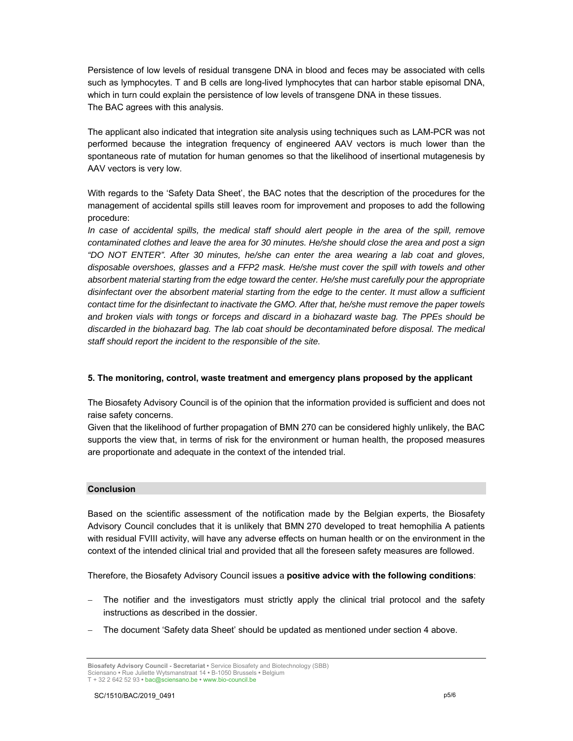Persistence of low levels of residual transgene DNA in blood and feces may be associated with cells such as lymphocytes. T and B cells are long-lived lymphocytes that can harbor stable episomal DNA, which in turn could explain the persistence of low levels of transgene DNA in these tissues. The BAC agrees with this analysis.

The applicant also indicated that integration site analysis using techniques such as LAM-PCR was not performed because the integration frequency of engineered AAV vectors is much lower than the spontaneous rate of mutation for human genomes so that the likelihood of insertional mutagenesis by AAV vectors is very low.

With regards to the 'Safety Data Sheet', the BAC notes that the description of the procedures for the management of accidental spills still leaves room for improvement and proposes to add the following procedure:

In case of accidental spills, the medical staff should alert people in the area of the spill, remove *contaminated clothes and leave the area for 30 minutes. He/she should close the area and post a sign "DO NOT ENTER". After 30 minutes, he/she can enter the area wearing a lab coat and gloves, disposable overshoes, glasses and a FFP2 mask. He/she must cover the spill with towels and other absorbent material starting from the edge toward the center. He/she must carefully pour the appropriate disinfectant over the absorbent material starting from the edge to the center. It must allow a sufficient contact time for the disinfectant to inactivate the GMO. After that, he/she must remove the paper towels and broken vials with tongs or forceps and discard in a biohazard waste bag. The PPEs should be discarded in the biohazard bag. The lab coat should be decontaminated before disposal. The medical staff should report the incident to the responsible of the site.* 

### **5. The monitoring, control, waste treatment and emergency plans proposed by the applicant**

The Biosafety Advisory Council is of the opinion that the information provided is sufficient and does not raise safety concerns.

Given that the likelihood of further propagation of BMN 270 can be considered highly unlikely, the BAC supports the view that, in terms of risk for the environment or human health, the proposed measures are proportionate and adequate in the context of the intended trial.

### **Conclusion**

Based on the scientific assessment of the notification made by the Belgian experts, the Biosafety Advisory Council concludes that it is unlikely that BMN 270 developed to treat hemophilia A patients with residual FVIII activity, will have any adverse effects on human health or on the environment in the context of the intended clinical trial and provided that all the foreseen safety measures are followed.

Therefore, the Biosafety Advisory Council issues a **positive advice with the following conditions**:

- The notifier and the investigators must strictly apply the clinical trial protocol and the safety instructions as described in the dossier.
- The document 'Safety data Sheet' should be updated as mentioned under section 4 above.

**Biosafety Advisory Council - Secretariat •** Service Biosafety and Biotechnology (SBB) Sciensano **•** Rue Juliette Wytsmanstraat 14 **•** B-1050 Brussels **•** Belgium T + 32 2 642 52 93 **•** bac@sciensano.be **•** www.bio-council.be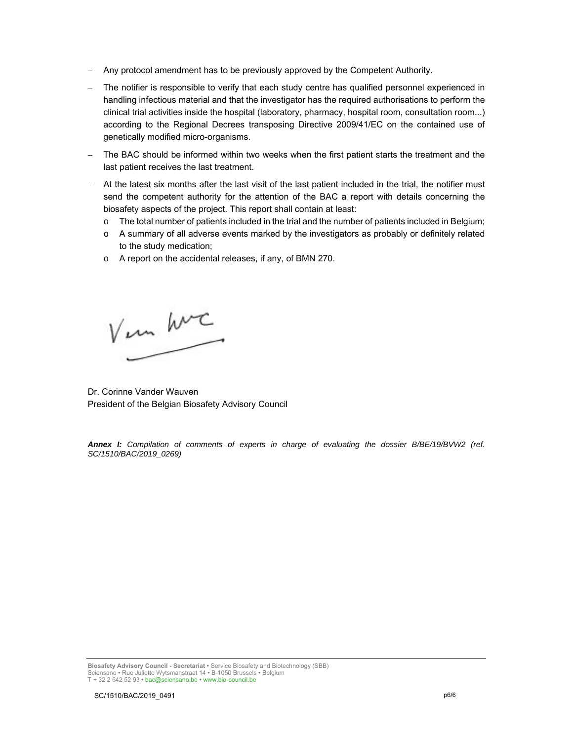- Any protocol amendment has to be previously approved by the Competent Authority.
- The notifier is responsible to verify that each study centre has qualified personnel experienced in handling infectious material and that the investigator has the required authorisations to perform the clinical trial activities inside the hospital (laboratory, pharmacy, hospital room, consultation room...) according to the Regional Decrees transposing Directive 2009/41/EC on the contained use of genetically modified micro-organisms.
- The BAC should be informed within two weeks when the first patient starts the treatment and the last patient receives the last treatment.
- At the latest six months after the last visit of the last patient included in the trial, the notifier must send the competent authority for the attention of the BAC a report with details concerning the biosafety aspects of the project. This report shall contain at least:
	- o The total number of patients included in the trial and the number of patients included in Belgium;
	- $\circ$  A summary of all adverse events marked by the investigators as probably or definitely related to the study medication;
	- o A report on the accidental releases, if any, of BMN 270.

V un hvc

Dr. Corinne Vander Wauven President of the Belgian Biosafety Advisory Council

*Annex I: Compilation of comments of experts in charge of evaluating the dossier B/BE/19/BVW2 (ref. SC/1510/BAC/2019\_0269)*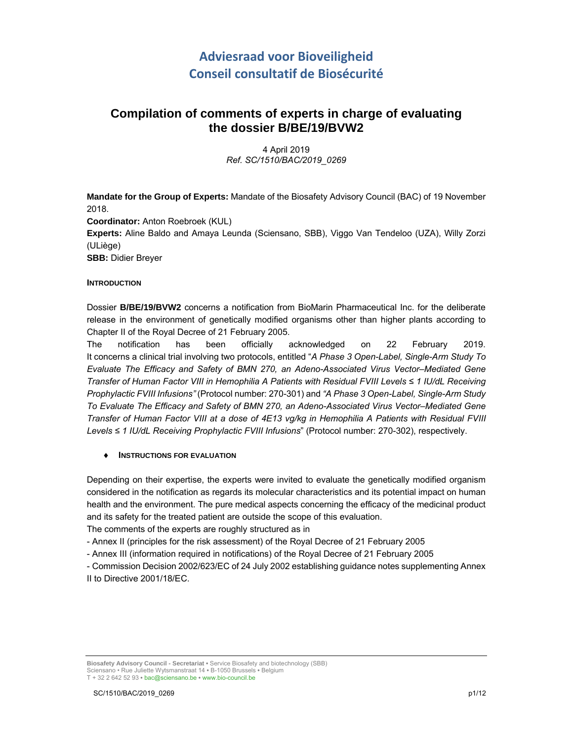# **Adviesraad voor Bioveiligheid Conseil consultatif de Biosécurité**

# **Compilation of comments of experts in charge of evaluating the dossier B/BE/19/BVW2**

4 April 2019 *Ref. SC/1510/BAC/2019\_0269*

**Mandate for the Group of Experts:** Mandate of the Biosafety Advisory Council (BAC) of 19 November 2018. **Coordinator:** Anton Roebroek (KUL) **Experts:** Aline Baldo and Amaya Leunda (Sciensano, SBB), Viggo Van Tendeloo (UZA), Willy Zorzi (ULiège)

**SBB:** Didier Breyer

### **INTRODUCTION**

Dossier **B/BE/19/BVW2** concerns a notification from BioMarin Pharmaceutical Inc. for the deliberate release in the environment of genetically modified organisms other than higher plants according to Chapter II of the Royal Decree of 21 February 2005.

The notification has been officially acknowledged on 22 February 2019. It concerns a clinical trial involving two protocols, entitled "*A Phase 3 Open-Label, Single-Arm Study To Evaluate The Efficacy and Safety of BMN 270, an Adeno-Associated Virus Vector–Mediated Gene Transfer of Human Factor VIII in Hemophilia A Patients with Residual FVIII Levels ≤ 1 IU/dL Receiving Prophylactic FVIII Infusions"* (Protocol number: 270-301) and *"A Phase 3 Open-Label, Single-Arm Study To Evaluate The Efficacy and Safety of BMN 270, an Adeno-Associated Virus Vector–Mediated Gene Transfer of Human Factor VIII at a dose of 4E13 vg/kg in Hemophilia A Patients with Residual FVIII Levels ≤ 1 IU/dL Receiving Prophylactic FVIII Infusions*" (Protocol number: 270-302), respectively.

### **INSTRUCTIONS FOR EVALUATION**

Depending on their expertise, the experts were invited to evaluate the genetically modified organism considered in the notification as regards its molecular characteristics and its potential impact on human health and the environment. The pure medical aspects concerning the efficacy of the medicinal product and its safety for the treated patient are outside the scope of this evaluation.

The comments of the experts are roughly structured as in

- Annex II (principles for the risk assessment) of the Royal Decree of 21 February 2005

- Annex III (information required in notifications) of the Royal Decree of 21 February 2005

- Commission Decision 2002/623/EC of 24 July 2002 establishing guidance notes supplementing Annex II to Directive 2001/18/EC.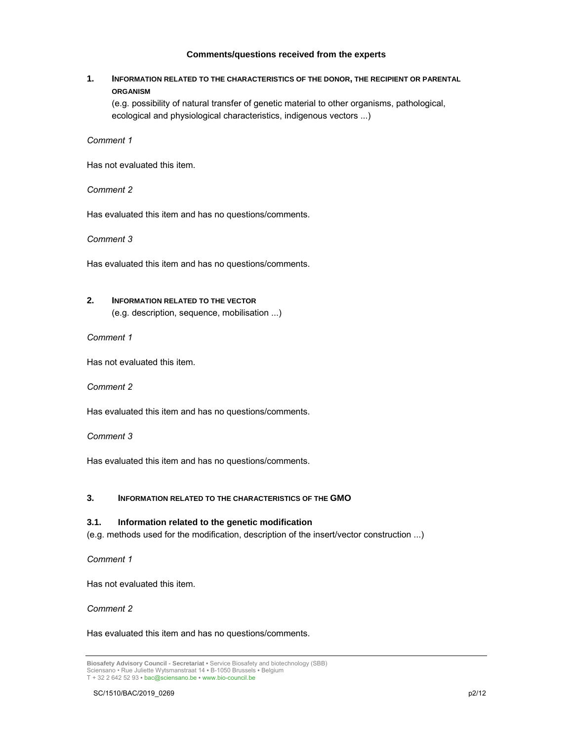### **Comments/questions received from the experts**

### **1. INFORMATION RELATED TO THE CHARACTERISTICS OF THE DONOR, THE RECIPIENT OR PARENTAL ORGANISM**

(e.g. possibility of natural transfer of genetic material to other organisms, pathological, ecological and physiological characteristics, indigenous vectors ...)

*Comment 1*

Has not evaluated this item.

*Comment 2*

Has evaluated this item and has no questions/comments.

*Comment 3*

Has evaluated this item and has no questions/comments.

## **2. INFORMATION RELATED TO THE VECTOR**

(e.g. description, sequence, mobilisation ...)

*Comment 1*

Has not evaluated this item.

*Comment 2*

Has evaluated this item and has no questions/comments.

*Comment 3*

Has evaluated this item and has no questions/comments.

### **3. INFORMATION RELATED TO THE CHARACTERISTICS OF THE GMO**

### **3.1. Information related to the genetic modification**

(e.g. methods used for the modification, description of the insert/vector construction ...)

*Comment 1*

Has not evaluated this item.

*Comment 2*

Has evaluated this item and has no questions/comments.

**Biosafety Advisory Council - Secretariat •** Service Biosafety and biotechnology (SBB) Sciensano • Rue Juliette Wytsmanstraat 14 **•** B-1050 Brussels **•** Belgium T + 32 2 642 52 93 **•** bac@sciensano.be **•** www.bio-council.be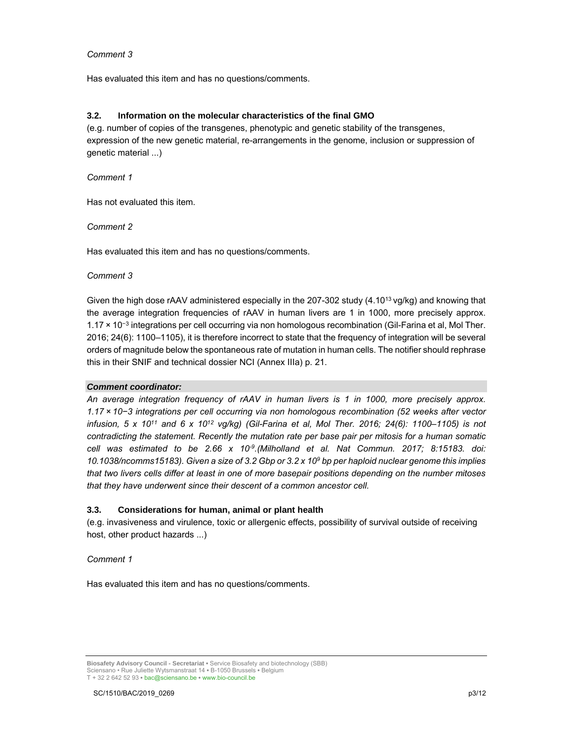### *Comment 3*

Has evaluated this item and has no questions/comments.

### **3.2. Information on the molecular characteristics of the final GMO**

(e.g. number of copies of the transgenes, phenotypic and genetic stability of the transgenes, expression of the new genetic material, re-arrangements in the genome, inclusion or suppression of genetic material ...)

*Comment 1*

Has not evaluated this item.

### *Comment 2*

Has evaluated this item and has no questions/comments.

#### *Comment 3*

Given the high dose rAAV administered especially in the 207-302 study (4.10<sup>13</sup> vg/kg) and knowing that the average integration frequencies of rAAV in human livers are 1 in 1000, more precisely approx. 1.17 × 10<sup>−</sup>3 integrations per cell occurring via non homologous recombination (Gil-Farina et al, Mol Ther. 2016; 24(6): 1100–1105), it is therefore incorrect to state that the frequency of integration will be several orders of magnitude below the spontaneous rate of mutation in human cells. The notifier should rephrase this in their SNIF and technical dossier NCI (Annex IIIa) p. 21.

### *Comment coordinator:*

*An average integration frequency of rAAV in human livers is 1 in 1000, more precisely approx. 1.17 × 10−3 integrations per cell occurring via non homologous recombination (52 weeks after vector infusion, 5 x 1011 and 6 x 1012 vg/kg) (Gil-Farina et al, Mol Ther. 2016; 24(6): 1100–1105) is not contradicting the statement. Recently the mutation rate per base pair per mitosis for a human somatic cell was estimated to be 2.66 x 10-9.(Milholland et al. Nat Commun. 2017; 8:15183. doi: 10.1038/ncomms15183). Given a size of 3.2 Gbp or 3.2 x 109 bp per haploid nuclear genome this implies that two livers cells differ at least in one of more basepair positions depending on the number mitoses that they have underwent since their descent of a common ancestor cell.* 

### **3.3. Considerations for human, animal or plant health**

(e.g. invasiveness and virulence, toxic or allergenic effects, possibility of survival outside of receiving host, other product hazards ...)

### *Comment 1*

Has evaluated this item and has no questions/comments.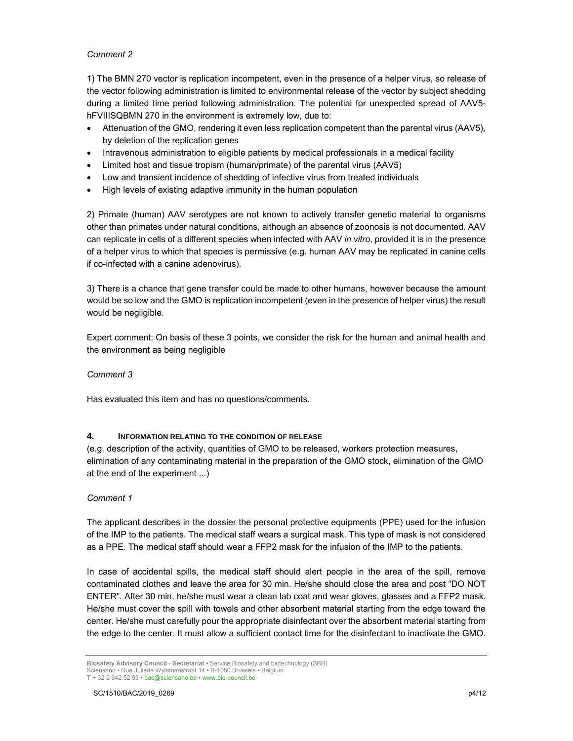### *Comment 2*

1) The BMN 270 vector is replication incompetent, even in the presence of a helper virus, so release of the vector following administration is limited to environmental release of the vector by subject shedding during a limited time period following administration. The potential for unexpected spread of AAV5 hFVIIISQBMN 270 in the environment is extremely low, due to:

- Attenuation of the GMO, rendering it even less replication competent than the parental virus (AAV5), by deletion of the replication genes
- Intravenous administration to eligible patients by medical professionals in a medical facility
- Limited host and tissue tropism (human/primate) of the parental virus (AAV5)
- Low and transient incidence of shedding of infective virus from treated individuals
- High levels of existing adaptive immunity in the human population

2) Primate (human) AAV serotypes are not known to actively transfer genetic material to organisms other than primates under natural conditions, although an absence of zoonosis is not documented. AAV can replicate in cells of a different species when infected with AAV *in vitro*, provided it is in the presence of a helper virus to which that species is permissive (e.g. human AAV may be replicated in canine cells if co-infected with a canine adenovirus).

3) There is a chance that gene transfer could be made to other humans, however because the amount would be so low and the GMO is replication incompetent (even in the presence of helper virus) the result would be negligible.

Expert comment: On basis of these 3 points, we consider the risk for the human and animal health and the environment as being negligible

*Comment 3*

Has evaluated this item and has no questions/comments.

### **4. INFORMATION RELATING TO THE CONDITION OF RELEASE**

(e.g. description of the activity, quantities of GMO to be released, workers protection measures, elimination of any contaminating material in the preparation of the GMO stock, elimination of the GMO at the end of the experiment ...)

### *Comment 1*

The applicant describes in the dossier the personal protective equipments (PPE) used for the infusion of the IMP to the patients. The medical staff wears a surgical mask. This type of mask is not considered as a PPE. The medical staff should wear a FFP2 mask for the infusion of the IMP to the patients.

In case of accidental spills, the medical staff should alert people in the area of the spill, remove contaminated clothes and leave the area for 30 min. He/she should close the area and post "DO NOT ENTER". After 30 min, he/she must wear a clean lab coat and wear gloves, glasses and a FFP2 mask. He/she must cover the spill with towels and other absorbent material starting from the edge toward the center. He/she must carefully pour the appropriate disinfectant over the absorbent material starting from the edge to the center. It must allow a sufficient contact time for the disinfectant to inactivate the GMO.

**Biosafety Advisory Council - Secretariat •** Service Biosafety and biotechnology (SBB) Sciensano • Rue Juliette Wytsmanstraat 14 **•** B-1050 Brussels **•** Belgium T + 32 2 642 52 93 **•** bac@sciensano.be **•** www.bio-council.be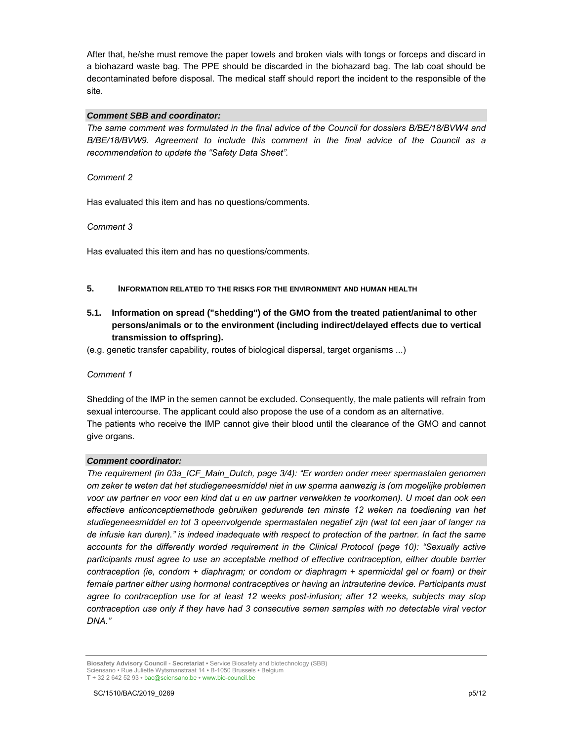After that, he/she must remove the paper towels and broken vials with tongs or forceps and discard in a biohazard waste bag. The PPE should be discarded in the biohazard bag. The lab coat should be decontaminated before disposal. The medical staff should report the incident to the responsible of the site.

### *Comment SBB and coordinator:*

*The same comment was formulated in the final advice of the Council for dossiers B/BE/18/BVW4 and B/BE/18/BVW9. Agreement to include this comment in the final advice of the Council as a recommendation to update the "Safety Data Sheet".* 

*Comment 2*

Has evaluated this item and has no questions/comments.

*Comment 3*

Has evaluated this item and has no questions/comments.

### **5. INFORMATION RELATED TO THE RISKS FOR THE ENVIRONMENT AND HUMAN HEALTH**

### **5.1. Information on spread ("shedding") of the GMO from the treated patient/animal to other persons/animals or to the environment (including indirect/delayed effects due to vertical transmission to offspring).**

(e.g. genetic transfer capability, routes of biological dispersal, target organisms ...)

### *Comment 1*

Shedding of the IMP in the semen cannot be excluded. Consequently, the male patients will refrain from sexual intercourse. The applicant could also propose the use of a condom as an alternative. The patients who receive the IMP cannot give their blood until the clearance of the GMO and cannot give organs.

### *Comment coordinator:*

*The requirement (in 03a\_ICF\_Main\_Dutch, page 3/4): "Er worden onder meer spermastalen genomen om zeker te weten dat het studiegeneesmiddel niet in uw sperma aanwezig is (om mogelijke problemen voor uw partner en voor een kind dat u en uw partner verwekken te voorkomen). U moet dan ook een effectieve anticonceptiemethode gebruiken gedurende ten minste 12 weken na toediening van het studiegeneesmiddel en tot 3 opeenvolgende spermastalen negatief zijn (wat tot een jaar of langer na de infusie kan duren)." is indeed inadequate with respect to protection of the partner. In fact the same accounts for the differently worded requirement in the Clinical Protocol (page 10): "Sexually active participants must agree to use an acceptable method of effective contraception, either double barrier contraception (ie, condom + diaphragm; or condom or diaphragm + spermicidal gel or foam) or their female partner either using hormonal contraceptives or having an intrauterine device. Participants must agree to contraception use for at least 12 weeks post-infusion; after 12 weeks, subjects may stop contraception use only if they have had 3 consecutive semen samples with no detectable viral vector DNA."* 

**Biosafety Advisory Council - Secretariat •** Service Biosafety and biotechnology (SBB) Sciensano • Rue Juliette Wytsmanstraat 14 **•** B-1050 Brussels **•** Belgium T + 32 2 642 52 93 **•** bac@sciensano.be **•** www.bio-council.be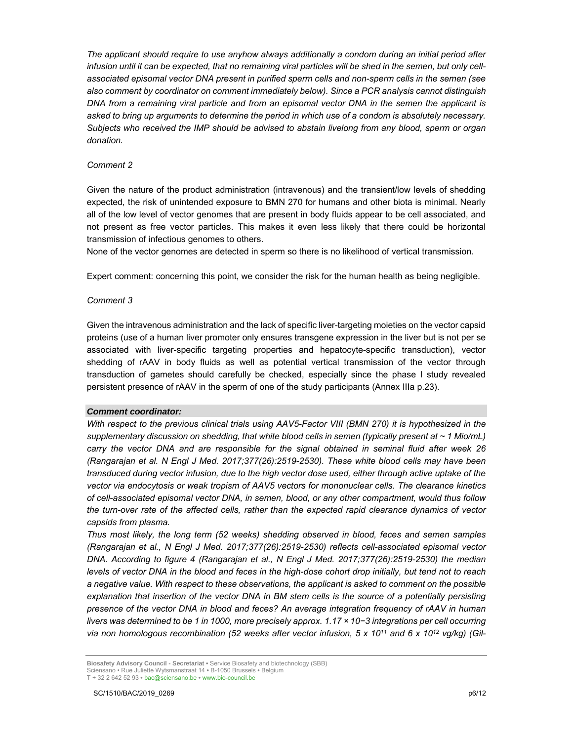*The applicant should require to use anyhow always additionally a condom during an initial period after infusion until it can be expected, that no remaining viral particles will be shed in the semen, but only cellassociated episomal vector DNA present in purified sperm cells and non-sperm cells in the semen (see also comment by coordinator on comment immediately below). Since a PCR analysis cannot distinguish DNA from a remaining viral particle and from an episomal vector DNA in the semen the applicant is asked to bring up arguments to determine the period in which use of a condom is absolutely necessary. Subjects who received the IMP should be advised to abstain livelong from any blood, sperm or organ donation.* 

### *Comment 2*

Given the nature of the product administration (intravenous) and the transient/low levels of shedding expected, the risk of unintended exposure to BMN 270 for humans and other biota is minimal. Nearly all of the low level of vector genomes that are present in body fluids appear to be cell associated, and not present as free vector particles. This makes it even less likely that there could be horizontal transmission of infectious genomes to others.

None of the vector genomes are detected in sperm so there is no likelihood of vertical transmission.

Expert comment: concerning this point, we consider the risk for the human health as being negligible.

#### *Comment 3*

Given the intravenous administration and the lack of specific liver-targeting moieties on the vector capsid proteins (use of a human liver promoter only ensures transgene expression in the liver but is not per se associated with liver-specific targeting properties and hepatocyte-specific transduction), vector shedding of rAAV in body fluids as well as potential vertical transmission of the vector through transduction of gametes should carefully be checked, especially since the phase I study revealed persistent presence of rAAV in the sperm of one of the study participants (Annex IIIa p.23).

### *Comment coordinator:*

*With respect to the previous clinical trials using AAV5-Factor VIII (BMN 270) it is hypothesized in the supplementary discussion on shedding, that white blood cells in semen (typically present at ~ 1 Mio/mL) carry the vector DNA and are responsible for the signal obtained in seminal fluid after week 26 (Rangarajan et al. N Engl J Med. 2017;377(26):2519-2530). These white blood cells may have been transduced during vector infusion, due to the high vector dose used, either through active uptake of the vector via endocytosis or weak tropism of AAV5 vectors for mononuclear cells. The clearance kinetics of cell-associated episomal vector DNA, in semen, blood, or any other compartment, would thus follow the turn-over rate of the affected cells, rather than the expected rapid clearance dynamics of vector capsids from plasma.* 

*Thus most likely, the long term (52 weeks) shedding observed in blood, feces and semen samples (Rangarajan et al., N Engl J Med. 2017;377(26):2519-2530) reflects cell-associated episomal vector DNA. According to figure 4 (Rangarajan et al., N Engl J Med. 2017;377(26):2519-2530) the median levels of vector DNA in the blood and feces in the high-dose cohort drop initially, but tend not to reach a negative value. With respect to these observations, the applicant is asked to comment on the possible explanation that insertion of the vector DNA in BM stem cells is the source of a potentially persisting presence of the vector DNA in blood and feces? An average integration frequency of rAAV in human livers was determined to be 1 in 1000, more precisely approx. 1.17 × 10−3 integrations per cell occurring via non homologous recombination (52 weeks after vector infusion, 5 x 1011 and 6 x 1012 vg/kg) (Gil-*

**Biosafety Advisory Council - Secretariat •** Service Biosafety and biotechnology (SBB) Sciensano • Rue Juliette Wytsmanstraat 14 **•** B-1050 Brussels **•** Belgium T + 32 2 642 52 93 **•** bac@sciensano.be **•** www.bio-council.be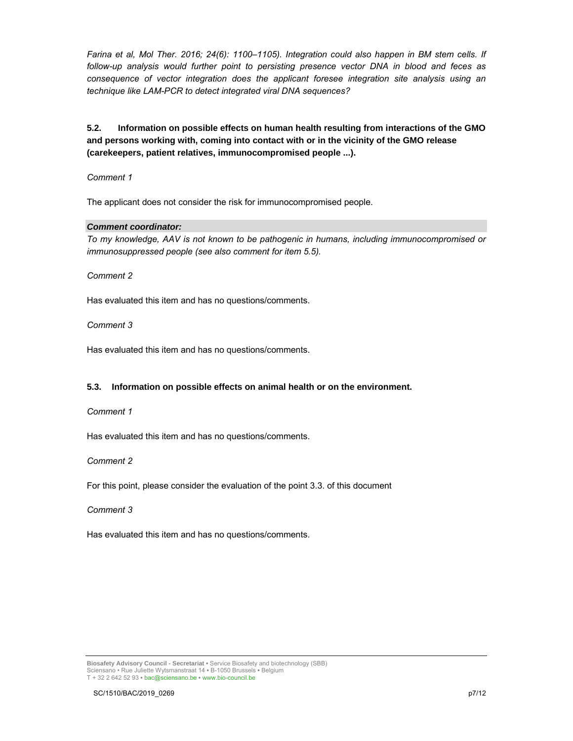*Farina et al, Mol Ther. 2016; 24(6): 1100–1105). Integration could also happen in BM stem cells. If follow-up analysis would further point to persisting presence vector DNA in blood and feces as consequence of vector integration does the applicant foresee integration site analysis using an technique like LAM-PCR to detect integrated viral DNA sequences?* 

### **5.2. Information on possible effects on human health resulting from interactions of the GMO and persons working with, coming into contact with or in the vicinity of the GMO release (carekeepers, patient relatives, immunocompromised people ...).**

*Comment 1*

The applicant does not consider the risk for immunocompromised people.

### *Comment coordinator:*

*To my knowledge, AAV is not known to be pathogenic in humans, including immunocompromised or immunosuppressed people (see also comment for item 5.5).*

*Comment 2*

Has evaluated this item and has no questions/comments.

*Comment 3*

Has evaluated this item and has no questions/comments.

### **5.3. Information on possible effects on animal health or on the environment.**

*Comment 1*

Has evaluated this item and has no questions/comments.

*Comment 2*

For this point, please consider the evaluation of the point 3.3. of this document

*Comment 3*

Has evaluated this item and has no questions/comments.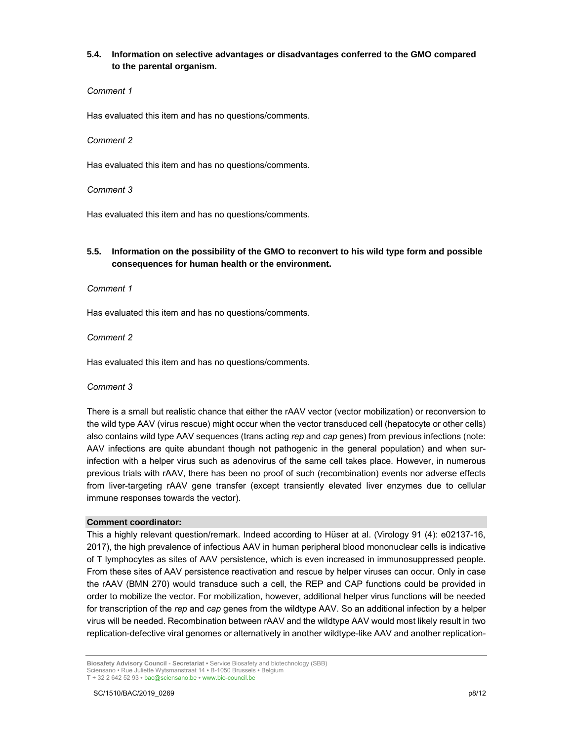### **5.4. Information on selective advantages or disadvantages conferred to the GMO compared to the parental organism.**

### *Comment 1*

Has evaluated this item and has no questions/comments.

### *Comment 2*

Has evaluated this item and has no questions/comments.

### *Comment 3*

Has evaluated this item and has no questions/comments.

### **5.5. Information on the possibility of the GMO to reconvert to his wild type form and possible consequences for human health or the environment.**

### *Comment 1*

Has evaluated this item and has no questions/comments.

### *Comment 2*

Has evaluated this item and has no questions/comments.

### *Comment 3*

There is a small but realistic chance that either the rAAV vector (vector mobilization) or reconversion to the wild type AAV (virus rescue) might occur when the vector transduced cell (hepatocyte or other cells) also contains wild type AAV sequences (trans acting *rep* and *cap* genes) from previous infections (note: AAV infections are quite abundant though not pathogenic in the general population) and when surinfection with a helper virus such as adenovirus of the same cell takes place. However, in numerous previous trials with rAAV, there has been no proof of such (recombination) events nor adverse effects from liver-targeting rAAV gene transfer (except transiently elevated liver enzymes due to cellular immune responses towards the vector).

### **Comment coordinator:**

This a highly relevant question/remark. Indeed according to Hüser at al. (Virology 91 (4): e02137-16, 2017), the high prevalence of infectious AAV in human peripheral blood mononuclear cells is indicative of T lymphocytes as sites of AAV persistence, which is even increased in immunosuppressed people. From these sites of AAV persistence reactivation and rescue by helper viruses can occur. Only in case the rAAV (BMN 270) would transduce such a cell, the REP and CAP functions could be provided in order to mobilize the vector. For mobilization, however, additional helper virus functions will be needed for transcription of the *rep* and *cap* genes from the wildtype AAV. So an additional infection by a helper virus will be needed. Recombination between rAAV and the wildtype AAV would most likely result in two replication-defective viral genomes or alternatively in another wildtype-like AAV and another replication-

**Biosafety Advisory Council - Secretariat •** Service Biosafety and biotechnology (SBB) Sciensano • Rue Juliette Wytsmanstraat 14 **•** B-1050 Brussels **•** Belgium T + 32 2 642 52 93 **•** bac@sciensano.be **•** www.bio-council.be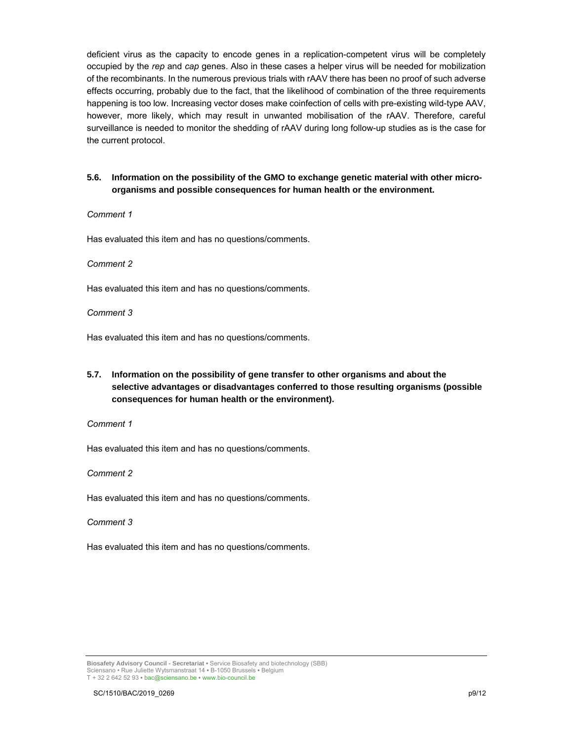deficient virus as the capacity to encode genes in a replication-competent virus will be completely occupied by the *rep* and *cap* genes. Also in these cases a helper virus will be needed for mobilization of the recombinants. In the numerous previous trials with rAAV there has been no proof of such adverse effects occurring, probably due to the fact, that the likelihood of combination of the three requirements happening is too low. Increasing vector doses make coinfection of cells with pre-existing wild-type AAV, however, more likely, which may result in unwanted mobilisation of the rAAV. Therefore, careful surveillance is needed to monitor the shedding of rAAV during long follow-up studies as is the case for the current protocol.

### **5.6. Information on the possibility of the GMO to exchange genetic material with other microorganisms and possible consequences for human health or the environment.**

### *Comment 1*

Has evaluated this item and has no questions/comments.

### *Comment 2*

Has evaluated this item and has no questions/comments.

### *Comment 3*

Has evaluated this item and has no questions/comments.

### **5.7. Information on the possibility of gene transfer to other organisms and about the selective advantages or disadvantages conferred to those resulting organisms (possible consequences for human health or the environment).**

*Comment 1*

Has evaluated this item and has no questions/comments.

*Comment 2*

Has evaluated this item and has no questions/comments.

*Comment 3*

Has evaluated this item and has no questions/comments.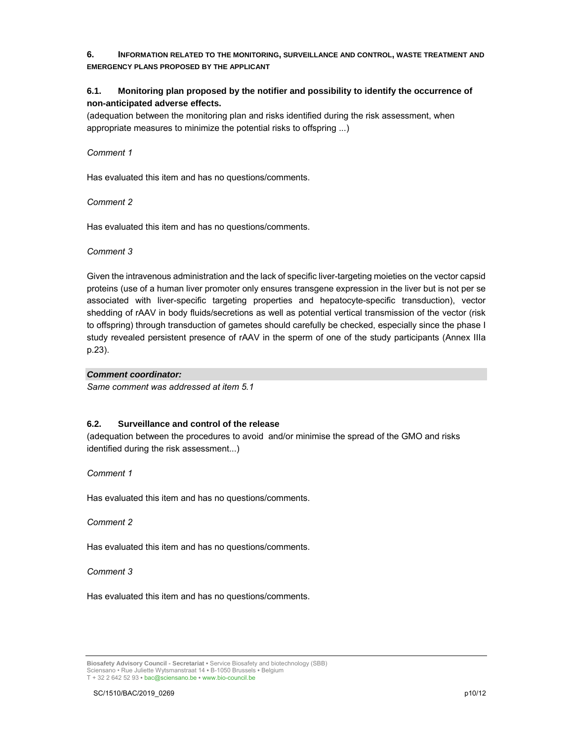### **6. INFORMATION RELATED TO THE MONITORING, SURVEILLANCE AND CONTROL, WASTE TREATMENT AND EMERGENCY PLANS PROPOSED BY THE APPLICANT**

### **6.1. Monitoring plan proposed by the notifier and possibility to identify the occurrence of non-anticipated adverse effects.**

(adequation between the monitoring plan and risks identified during the risk assessment, when appropriate measures to minimize the potential risks to offspring ...)

### *Comment 1*

Has evaluated this item and has no questions/comments.

### *Comment 2*

Has evaluated this item and has no questions/comments.

### *Comment 3*

Given the intravenous administration and the lack of specific liver-targeting moieties on the vector capsid proteins (use of a human liver promoter only ensures transgene expression in the liver but is not per se associated with liver-specific targeting properties and hepatocyte-specific transduction), vector shedding of rAAV in body fluids/secretions as well as potential vertical transmission of the vector (risk to offspring) through transduction of gametes should carefully be checked, especially since the phase I study revealed persistent presence of rAAV in the sperm of one of the study participants (Annex IIIa p.23).

### *Comment coordinator:*

*Same comment was addressed at item 5.1* 

### **6.2. Surveillance and control of the release**

(adequation between the procedures to avoid and/or minimise the spread of the GMO and risks identified during the risk assessment...)

*Comment 1*

Has evaluated this item and has no questions/comments.

*Comment 2*

Has evaluated this item and has no questions/comments.

*Comment 3*

Has evaluated this item and has no questions/comments.

**Biosafety Advisory Council - Secretariat •** Service Biosafety and biotechnology (SBB) Sciensano • Rue Juliette Wytsmanstraat 14 **•** B-1050 Brussels **•** Belgium T + 32 2 642 52 93 **•** bac@sciensano.be **•** www.bio-council.be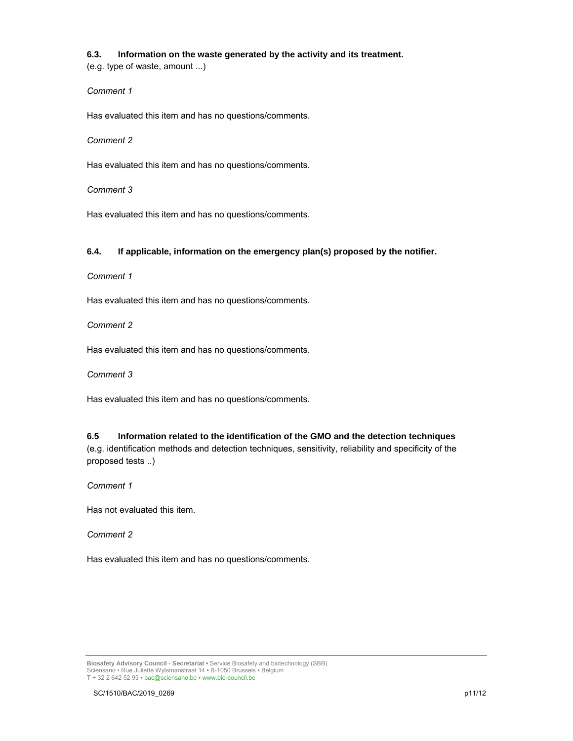### **6.3. Information on the waste generated by the activity and its treatment.**

(e.g. type of waste, amount ...)

### *Comment 1*

Has evaluated this item and has no questions/comments.

*Comment 2*

Has evaluated this item and has no questions/comments.

*Comment 3*

Has evaluated this item and has no questions/comments.

### **6.4. If applicable, information on the emergency plan(s) proposed by the notifier.**

*Comment 1*

Has evaluated this item and has no questions/comments.

*Comment 2*

Has evaluated this item and has no questions/comments.

*Comment 3*

Has evaluated this item and has no questions/comments.

### **6.5 Information related to the identification of the GMO and the detection techniques**  (e.g. identification methods and detection techniques, sensitivity, reliability and specificity of the proposed tests ..)

*Comment 1*

Has not evaluated this item.

*Comment 2*

Has evaluated this item and has no questions/comments.